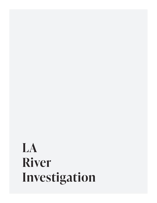## **LA River Investigation**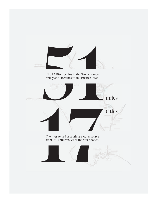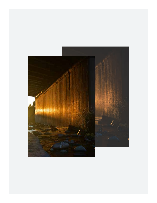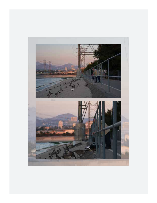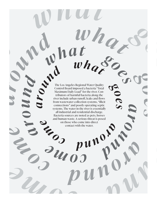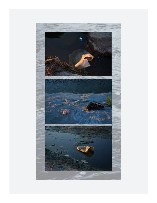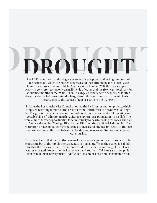## **DROUGHT DROUGHT**

The LA River was once a thriving water source. It was populated by huge amounts of steelhead trout, which are now endangered, and the surrounding forest areas were home to various species of wildlife. After a serious flood in 1938, the river was paved over with concrete, leaving only a small trickle of water, and the river was mostly dry for about nine months in the 1950s. When Los Angeles experiences dry spells, as it often does, the river is fed wastewater discharged from three wastewater treatment plants in the area (hence the danger of taking a swim in the LA River).

In 2016, the Los Angeles City Council adopted the LA River restoration project, which proposed restoring 11 miles of the LA River from Griffith Park to downtown Los Angeles. The goal is to maintain existing levels of flood risk management while creating and reestablishing a freshwater marsh habitat to support local populations of wildlife. The team aims to further opportunities for connectivity to nearby ecological zones: the Santa Monica Mountains, Verdugo Hills, Elysian Hills, and the San Gabriel Mountains. The restoration project indludes reintroducing ecological and physical processes to the area that will reconnect the river to historic floodplains, increase infiltration, and improve water quality.

There is a chance that the LA River can make a comeback and return to a somewhat lucious state but at the rapidly increasing rate of human traffic on the planet, it is doubtful that the river will ever thrive as it once did. The perpetual warming of the planet causes repeated droughts in the Los Angeles and Southern California area, and pollution from human activity makes it difficult to maintain a clean and inhabitable river.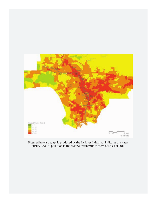

Pictured here is a graphic produced by the LA River Index that indicates the water quality (level of pollution in the river water) in various areas of LA as of 2016.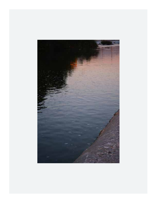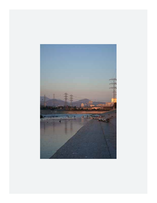